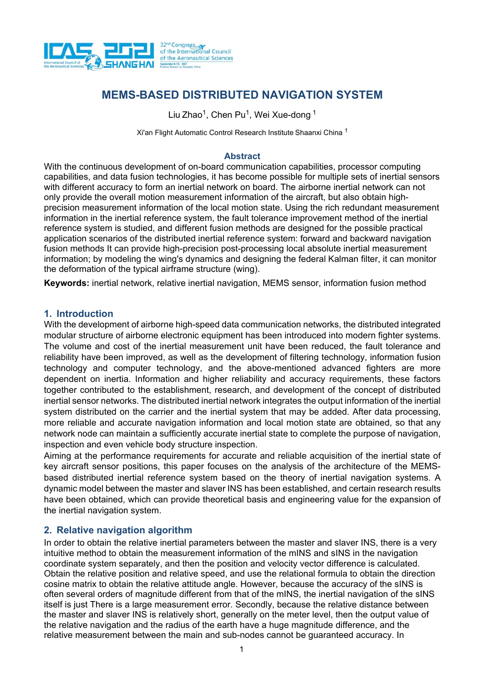

# **MEMS-BASED DISTRIBUTED NAVIGATION SYSTEM**

Liu Zhao<sup>1</sup>, Chen Pu<sup>1</sup>, Wei Xue-dong <sup>1</sup>

Xi'an Flight Automatic Control Research Institute Shaanxi China<sup>1</sup>

### **Abstract**

With the continuous development of on-board communication capabilities, processor computing capabilities, and data fusion technologies, it has become possible for multiple sets of inertial sensors with different accuracy to form an inertial network on board. The airborne inertial network can not only provide the overall motion measurement information of the aircraft, but also obtain highprecision measurement information of the local motion state. Using the rich redundant measurement information in the inertial reference system, the fault tolerance improvement method of the inertial reference system is studied, and different fusion methods are designed for the possible practical application scenarios of the distributed inertial reference system: forward and backward navigation fusion methods It can provide high-precision post-processing local absolute inertial measurement information; by modeling the wing's dynamics and designing the federal Kalman filter, it can monitor the deformation of the typical airframe structure (wing).

**Keywords:** inertial network, relative inertial navigation, MEMS sensor, information fusion method

### **1. Introduction**

With the development of airborne high-speed data communication networks, the distributed integrated modular structure of airborne electronic equipment has been introduced into modern fighter systems. The volume and cost of the inertial measurement unit have been reduced, the fault tolerance and reliability have been improved, as well as the development of filtering technology, information fusion technology and computer technology, and the above-mentioned advanced fighters are more dependent on inertia. Information and higher reliability and accuracy requirements, these factors together contributed to the establishment, research, and development of the concept of distributed inertial sensor networks. The distributed inertial network integrates the output information of the inertial system distributed on the carrier and the inertial system that may be added. After data processing, more reliable and accurate navigation information and local motion state are obtained, so that any network node can maintain a sufficiently accurate inertial state to complete the purpose of navigation, inspection and even vehicle body structure inspection.

Aiming at the performance requirements for accurate and reliable acquisition of the inertial state of key aircraft sensor positions, this paper focuses on the analysis of the architecture of the MEMSbased distributed inertial reference system based on the theory of inertial navigation systems. A dynamic model between the master and slaver INS has been established, and certain research results have been obtained, which can provide theoretical basis and engineering value for the expansion of the inertial navigation system.

# **2. Relative navigation algorithm**

In order to obtain the relative inertial parameters between the master and slaver INS, there is a very intuitive method to obtain the measurement information of the mINS and sINS in the navigation coordinate system separately, and then the position and velocity vector difference is calculated. Obtain the relative position and relative speed, and use the relational formula to obtain the direction cosine matrix to obtain the relative attitude angle. However, because the accuracy of the sINS is often several orders of magnitude different from that of the mINS, the inertial navigation of the sINS itself is just There is a large measurement error. Secondly, because the relative distance between the master and slaver INS is relatively short, generally on the meter level, then the output value of the relative navigation and the radius of the earth have a huge magnitude difference, and the relative measurement between the main and sub-nodes cannot be guaranteed accuracy. In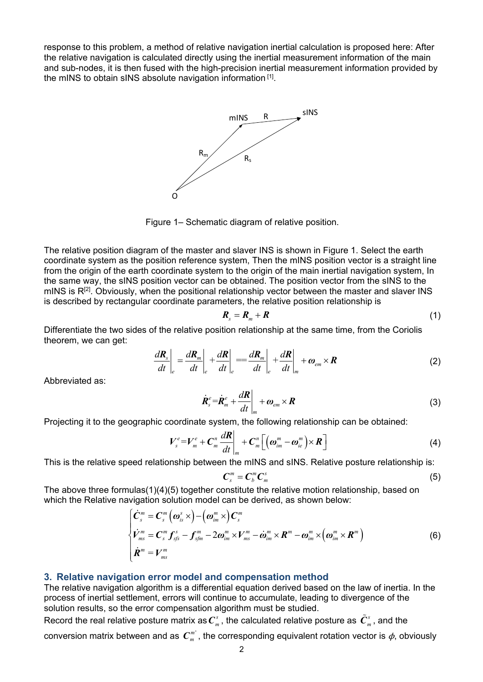response to this problem, a method of relative navigation inertial calculation is proposed here: After the relative navigation is calculated directly using the inertial measurement information of the main and sub-nodes, it is then fused with the high-precision inertial measurement information provided by the mINS to obtain sINS absolute navigation information [1].



Figure 1– Schematic diagram of relative position.

The relative position diagram of the master and slaver INS is shown in Figure 1. Select the earth coordinate system as the position reference system, Then the mINS position vector is a straight line from the origin of the earth coordinate system to the origin of the main inertial navigation system, In the same way, the sINS position vector can be obtained. The position vector from the sINS to the mINS is  $R^{[2]}$ . Obviously, when the positional relationship vector between the master and slaver INS is described by rectangular coordinate parameters, the relative position relationship is

$$
R_s = R_m + R \tag{1}
$$

Differentiate the two sides of the relative position relationship at the same time, from the Coriolis theorem, we can get:

$$
\frac{d\boldsymbol{R}_s}{dt}\bigg|_e = \frac{d\boldsymbol{R}_m}{dt}\bigg|_e + \frac{d\boldsymbol{R}}{dt}\bigg|_e = \frac{d\boldsymbol{R}_m}{dt}\bigg|_e + \frac{d\boldsymbol{R}}{dt}\bigg|_m + \omega_{em} \times \boldsymbol{R}
$$
\n(2)

Abbreviated as:

$$
\dot{\boldsymbol{R}}_s^e = \dot{\boldsymbol{R}}_m^e + \frac{d\boldsymbol{R}}{dt}\bigg|_{m} + \boldsymbol{\omega}_{em} \times \boldsymbol{R}
$$
\n(3)

Projecting it to the geographic coordinate system, the following relationship can be obtained:

$$
V_s^e = V_m^e + C_m^n \frac{dR}{dt}\bigg|_m + C_m^n \bigg[\big(\omega_{im}^m - \omega_{ie}^m\big) \times R\bigg]
$$
 (4)

This is the relative speed relationship between the mINS and sINS. Relative posture relationship is:

$$
\boldsymbol{C}_s^m = \boldsymbol{C}_b^m \boldsymbol{C}_m^s \tag{5}
$$

The above three formulas(1)(4)(5) together constitute the relative motion relationship, based on which the Relative navigation solution model can be derived, as shown below:

$$
\begin{cases}\n\dot{\mathbf{C}}_{s}^{m} = \mathbf{C}_{s}^{m} \left( \boldsymbol{\omega}_{is}^{s} \times \right) - \left( \boldsymbol{\omega}_{im}^{m} \times \right) \mathbf{C}_{s}^{m} \\
\dot{\mathbf{V}}_{ms}^{m} = \mathbf{C}_{s}^{m} \mathbf{f}_{sfs}^{s} - \mathbf{f}_{sfm}^{m} - 2 \boldsymbol{\omega}_{im}^{m} \times \mathbf{V}_{ms}^{m} - \dot{\boldsymbol{\omega}}_{im}^{m} \times \mathbf{R}^{m} - \boldsymbol{\omega}_{im}^{m} \times \left( \boldsymbol{\omega}_{im}^{m} \times \mathbf{R}^{m} \right) \\
\dot{\mathbf{R}}^{m} = \mathbf{V}_{ms}^{m}\n\end{cases}
$$
\n(6)

### **3. Relative navigation error model and compensation method**

The relative navigation algorithm is a differential equation derived based on the law of inertia. In the process of inertial settlement, errors will continue to accumulate, leading to divergence of the solution results, so the error compensation algorithm must be studied.

Record the real relative posture matrix as  $\bm{C}_m^s$  , the calculated relative posture as  $\tilde{\bm{C}}_m^s$  , and the

conversion matrix between and as  $C_m^m$ , the corresponding equivalent rotation vector is  $\phi$ , obviously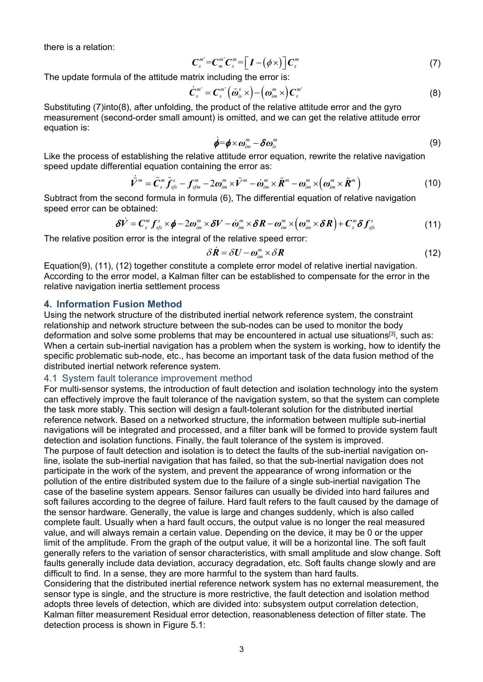there is a relation:

$$
\boldsymbol{C}_{s}^{m'}=\boldsymbol{C}_{m}^{m'}\boldsymbol{C}_{s}^{m}=\left[\boldsymbol{I}-\left(\boldsymbol{\phi}\times\right)\right]\boldsymbol{C}_{s}^{m}
$$
\n
$$
\tag{7}
$$

The update formula of the attitude matrix including the error is:

$$
\dot{\boldsymbol{C}}_{s}^{m'} = \boldsymbol{C}_{s}^{m'} \left( \tilde{\boldsymbol{\omega}}_{is}^{s} \times \right) - \left( \boldsymbol{\omega}_{im}^{m} \times \right) \boldsymbol{C}_{s}^{m'} \tag{8}
$$

Substituting (7)into(8), after unfolding, the product of the relative attitude error and the gyro measurement (second-order small amount) is omitted, and we can get the relative attitude error equation is:

$$
\dot{\boldsymbol{\phi}} = \boldsymbol{\phi} \times \boldsymbol{\omega}_{im}^m - \delta \boldsymbol{\omega}_{is}^m \tag{9}
$$

Like the process of establishing the relative attitude error equation, rewrite the relative navigation speed update differential equation containing the error as:

$$
\dot{\tilde{V}}^{m} = \tilde{C}_{s}^{m} \tilde{f}_{sfs}^{s} - f_{sfn}^{m} - 2\omega_{im}^{m} \times \tilde{V}^{m} - \dot{\omega}_{im}^{m} \times \tilde{R}^{m} - \omega_{im}^{m} \times (\omega_{im}^{m} \times \tilde{R}^{m})
$$
(10)

Subtract from the second formula in formula (6), The differential equation of relative navigation speed error can be obtained:

$$
\delta \dot{V} = C_s^m f_{\rm sfs}^s \times \phi - 2\omega_{\rm im}^m \times \delta V - \dot{\omega}_{\rm im}^m \times \delta R - \omega_{\rm im}^m \times (\omega_{\rm im}^m \times \delta R) + C_s^m \delta f_{\rm sfs}^s \tag{11}
$$

The relative position error is the integral of the relative speed error:

$$
\delta \dot{\mathbf{R}} = \delta \mathbf{U} - \boldsymbol{\omega}_{im}^m \times \delta \mathbf{R}
$$
 (12)

Equation(9), (11), (12) together constitute a complete error model of relative inertial navigation. According to the error model, a Kalman filter can be established to compensate for the error in the relative navigation inertia settlement process

### **4. Information Fusion Method**

Using the network structure of the distributed inertial network reference system, the constraint relationship and network structure between the sub-nodes can be used to monitor the body deformation and solve some problems that may be encountered in actual use situations<sup>[3]</sup>, such as: When a certain sub-inertial navigation has a problem when the system is working, how to identify the specific problematic sub-node, etc., has become an important task of the data fusion method of the distributed inertial network reference system.

### 4.1 System fault tolerance improvement method

For multi-sensor systems, the introduction of fault detection and isolation technology into the system can effectively improve the fault tolerance of the navigation system, so that the system can complete the task more stably. This section will design a fault-tolerant solution for the distributed inertial reference network. Based on a networked structure, the information between multiple sub-inertial navigations will be integrated and processed, and a filter bank will be formed to provide system fault detection and isolation functions. Finally, the fault tolerance of the system is improved. The purpose of fault detection and isolation is to detect the faults of the sub-inertial navigation online, isolate the sub-inertial navigation that has failed, so that the sub-inertial navigation does not participate in the work of the system, and prevent the appearance of wrong information or the pollution of the entire distributed system due to the failure of a single sub-inertial navigation The case of the baseline system appears. Sensor failures can usually be divided into hard failures and soft failures according to the degree of failure. Hard fault refers to the fault caused by the damage of the sensor hardware. Generally, the value is large and changes suddenly, which is also called

complete fault. Usually when a hard fault occurs, the output value is no longer the real measured value, and will always remain a certain value. Depending on the device, it may be 0 or the upper limit of the amplitude. From the graph of the output value, it will be a horizontal line. The soft fault generally refers to the variation of sensor characteristics, with small amplitude and slow change. Soft faults generally include data deviation, accuracy degradation, etc. Soft faults change slowly and are difficult to find. In a sense, they are more harmful to the system than hard faults.

Considering that the distributed inertial reference network system has no external measurement, the sensor type is single, and the structure is more restrictive, the fault detection and isolation method adopts three levels of detection, which are divided into: subsystem output correlation detection, Kalman filter measurement Residual error detection, reasonableness detection of filter state. The detection process is shown in Figure 5.1: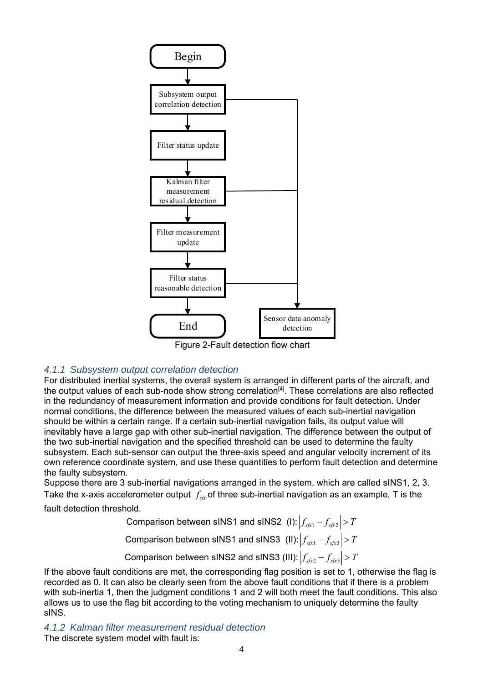

Figure 2-Fault detection flow chart

### *4.1.1 Subsystem output correlation detection*

For distributed inertial systems, the overall system is arranged in different parts of the aircraft, and the output values of each sub-node show strong correlation<sup>[4]</sup>. These correlations are also reflected in the redundancy of measurement information and provide conditions for fault detection. Under normal conditions, the difference between the measured values of each sub-inertial navigation should be within a certain range. If a certain sub-inertial navigation fails, its output value will inevitably have a large gap with other sub-inertial navigation. The difference between the output of the two sub-inertial navigation and the specified threshold can be used to determine the faulty subsystem. Each sub-sensor can output the three-axis speed and angular velocity increment of its own reference coordinate system, and use these quantities to perform fault detection and determine the faulty subsystem.

Suppose there are 3 sub-inertial navigations arranged in the system, which are called sINS1, 2, 3. Take the x-axis accelerometer output  $f_{\rm vir}$  of three sub-inertial navigation as an example, T is the

fault detection threshold.

Comparison between sINS1 and sINS2 (I):  $|f_{\text{stx1}} - f_{\text{stx2}}| > T$ Comparison between sINS1 and sINS3 (II):  $|f_{\text{soft}} - f_{\text{soft}}| > T$ Comparison between sINS2 and sINS3 (III):  $\left| \int_{\mathbb{S} \mathfrak{f} \times 2} - \int_{\mathbb{S} \mathfrak{f} \times 3} \right| > T$ 

If the above fault conditions are met, the corresponding flag position is set to 1, otherwise the flag is recorded as 0. It can also be clearly seen from the above fault conditions that if there is a problem with sub-inertia 1, then the judgment conditions 1 and 2 will both meet the fault conditions. This also allows us to use the flag bit according to the voting mechanism to uniquely determine the faulty sINS.

*4.1.2 Kalman filter measurement residual detection*  The discrete system model with fault is: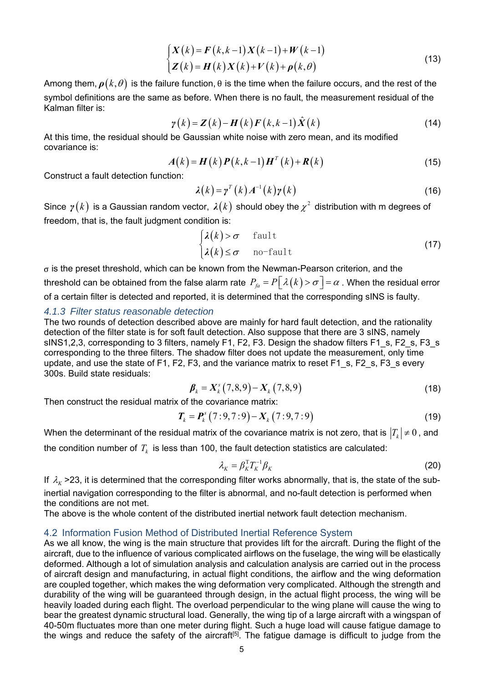$$
\begin{cases}\nX(k) = F(k, k-1)X(k-1) + W(k-1) \\
Z(k) = H(k)X(k) + V(k) + \rho(k, \theta)\n\end{cases}
$$
\n(13)

Among them,  $\rho(k, \theta)$  is the failure function,  $\theta$  is the time when the failure occurs, and the rest of the symbol definitions are the same as before. When there is no fault, the measurement residual of the Kalman filter is:

$$
\gamma(k) = \mathbf{Z}(k) - \mathbf{H}(k)\mathbf{F}(k,k-1)\hat{\mathbf{X}}(k)
$$
\n(14)

At this time, the residual should be Gaussian white noise with zero mean, and its modified covariance is:

$$
A(k) = H(k) P(k, k-1) HT(k) + R(k)
$$
\n(15)

Construct a fault detection function:

$$
\lambda(k) = \gamma^{T}(k) A^{-1}(k) \gamma(k)
$$
\n(16)

Since  $\gamma(k)$  is a Gaussian random vector,  $\lambda(k)$  should obey the  $\chi^2$  distribution with m degrees of freedom, that is, the fault judgment condition is:

$$
\begin{cases}\n\lambda(k) > \sigma \quad \text{fault} \\
\lambda(k) \leq \sigma \quad \text{no-fault}\n\end{cases} \tag{17}
$$

 $\sigma$  is the preset threshold, which can be known from the Newman-Pearson criterion, and the threshold can be obtained from the false alarm rate  $P_{fa} = P\lceil \lambda(k) > \sigma \rceil = \alpha$ . When the residual error of a certain filter is detected and reported, it is determined that the corresponding sINS is faulty.

### *4.1.3 Filter status reasonable detection*

The two rounds of detection described above are mainly for hard fault detection, and the rationality detection of the filter state is for soft fault detection. Also suppose that there are 3 sINS, namely sINS1,2,3, corresponding to 3 filters, namely F1, F2, F3. Design the shadow filters F1 s, F2 s, F3 s corresponding to the three filters. The shadow filter does not update the measurement, only time update, and use the state of F1, F2, F3, and the variance matrix to reset F1 s, F2 s, F3 s every 300s. Build state residuals:

$$
\beta_k = X_k^s (7,8,9) - X_k (7,8,9) \tag{18}
$$

Then construct the residual matrix of the covariance matrix:

$$
T_k = P_k^s (7:9,7:9) - X_k (7:9,7:9)
$$
 (19)

When the determinant of the residual matrix of the covariance matrix is not zero, that is  $|T_k| \neq 0$ , and

the condition number of  $T_k$  is less than 100, the fault detection statistics are calculated:

$$
\lambda_K = \beta_K^{\mathrm{T}} T_K^{-1} \beta_K \tag{20}
$$

If  $\lambda_{K}$  >23, it is determined that the corresponding filter works abnormally, that is, the state of the subinertial navigation corresponding to the filter is abnormal, and no-fault detection is performed when

the conditions are not met.

The above is the whole content of the distributed inertial network fault detection mechanism.

### 4.2 Information Fusion Method of Distributed Inertial Reference System

As we all know, the wing is the main structure that provides lift for the aircraft. During the flight of the aircraft, due to the influence of various complicated airflows on the fuselage, the wing will be elastically deformed. Although a lot of simulation analysis and calculation analysis are carried out in the process of aircraft design and manufacturing, in actual flight conditions, the airflow and the wing deformation are coupled together, which makes the wing deformation very complicated. Although the strength and durability of the wing will be guaranteed through design, in the actual flight process, the wing will be heavily loaded during each flight. The overload perpendicular to the wing plane will cause the wing to bear the greatest dynamic structural load. Generally, the wing tip of a large aircraft with a wingspan of 40-50m fluctuates more than one meter during flight. Such a huge load will cause fatigue damage to the wings and reduce the safety of the aircraft<sup>[5]</sup>. The fatigue damage is difficult to judge from the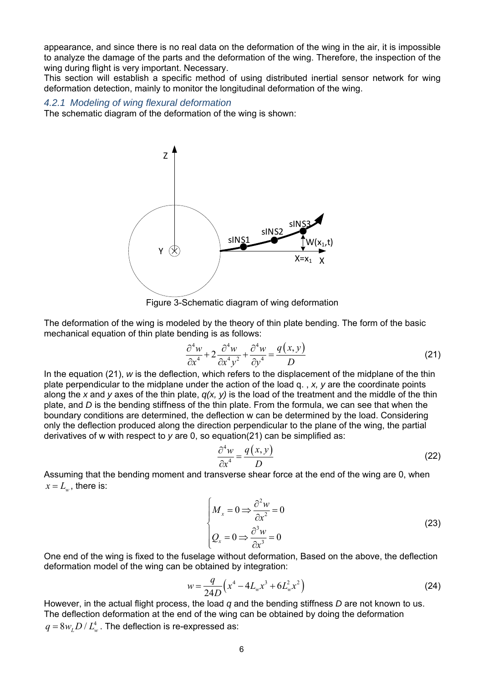appearance, and since there is no real data on the deformation of the wing in the air, it is impossible to analyze the damage of the parts and the deformation of the wing. Therefore, the inspection of the wing during flight is very important. Necessary.

This section will establish a specific method of using distributed inertial sensor network for wing deformation detection, mainly to monitor the longitudinal deformation of the wing.

### *4.2.1 Modeling of wing flexural deformation*

The schematic diagram of the deformation of the wing is shown:



Figure 3-Schematic diagram of wing deformation

The deformation of the wing is modeled by the theory of thin plate bending. The form of the basic mechanical equation of thin plate bending is as follows:

$$
\frac{\partial^4 w}{\partial x^4} + 2 \frac{\partial^4 w}{\partial x^4 y^2} + \frac{\partial^4 w}{\partial y^4} = \frac{q(x, y)}{D}
$$
 (21)

In the equation (21), *w* is the deflection, which refers to the displacement of the midplane of the thin plate perpendicular to the midplane under the action of the load q. , *x, y* are the coordinate points along the *x* and *y* axes of the thin plate, *q(x, y)* is the load of the treatment and the middle of the thin plate, and *D* is the bending stiffness of the thin plate. From the formula, we can see that when the boundary conditions are determined, the deflection w can be determined by the load. Considering only the deflection produced along the direction perpendicular to the plane of the wing, the partial derivatives of w with respect to *y* are 0, so equation(21) can be simplified as:

$$
\frac{\partial^4 w}{\partial x^4} = \frac{q(x, y)}{D} \tag{22}
$$

Assuming that the bending moment and transverse shear force at the end of the wing are 0, when  $x = L_{\nu}$ , there is:

> 2 2 3 3  $0 \Rightarrow \frac{6}{2} \times \frac{6}{2} = 0$  $0 \Rightarrow \frac{6}{1} \times \frac{1}{2} = 0$ *x x*  $M_x = 0 \Rightarrow \frac{\partial^2 w}{\partial x^2}$ *x*  $Q_r = 0 \Rightarrow \frac{\partial^3 w}{\partial x^3}$ *x*  $M_x = 0 \Rightarrow \frac{\partial^2 w}{\partial x^2} =$  $\begin{matrix} m_x & 0 \\ 0 & 0 \\ 0 & 0 \\ 0 & 0 \end{matrix}$  $Q_x = 0 \Rightarrow \frac{\partial^3 w}{\partial x^3} =$ (23)

One end of the wing is fixed to the fuselage without deformation, Based on the above, the deflection deformation model of the wing can be obtained by integration:

$$
w = \frac{q}{24D} \left( x^4 - 4L_w x^3 + 6L_w^2 x^2 \right)
$$
 (24)

However, in the actual flight process, the load *q* and the bending stiffness *D* are not known to us. The deflection deformation at the end of the wing can be obtained by doing the deformation  $q = 8 w<sub>r</sub> D / L_w^4$ . The deflection is re-expressed as: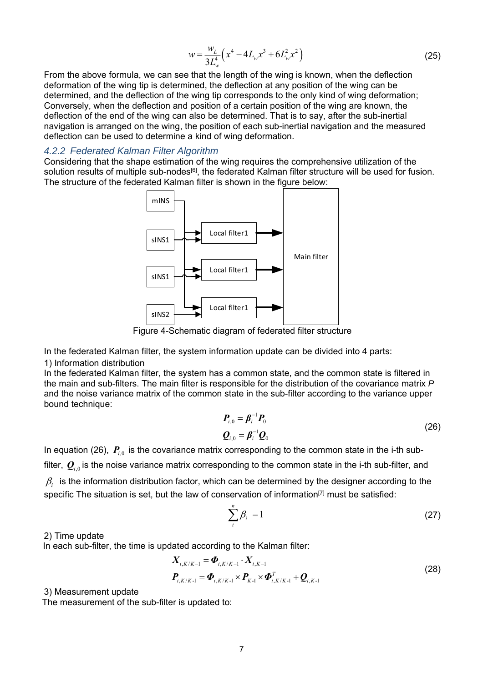$$
w = \frac{w_L}{3L_w^4} \left( x^4 - 4L_w x^3 + 6L_w^2 x^2 \right)
$$
 (25)

From the above formula, we can see that the length of the wing is known, when the deflection deformation of the wing tip is determined, the deflection at any position of the wing can be determined, and the deflection of the wing tip corresponds to the only kind of wing deformation; Conversely, when the deflection and position of a certain position of the wing are known, the deflection of the end of the wing can also be determined. That is to say, after the sub-inertial navigation is arranged on the wing, the position of each sub-inertial navigation and the measured deflection can be used to determine a kind of wing deformation.

### *4.2.2 Federated Kalman Filter Algorithm*

Considering that the shape estimation of the wing requires the comprehensive utilization of the solution results of multiple sub-nodes<sup>[6]</sup>, the federated Kalman filter structure will be used for fusion. The structure of the federated Kalman filter is shown in the figure below:



Figure 4-Schematic diagram of federated filter structure

In the federated Kalman filter, the system information update can be divided into 4 parts:

#### 1) Information distribution

In the federated Kalman filter, the system has a common state, and the common state is filtered in the main and sub-filters. The main filter is responsible for the distribution of the covariance matrix *P* and the noise variance matrix of the common state in the sub-filter according to the variance upper bound technique:

$$
\boldsymbol{P}_{i,0} = \boldsymbol{\beta}_i^{-1} \boldsymbol{P}_0
$$
\n
$$
\boldsymbol{Q}_{i,0} = \boldsymbol{\beta}_i^{-1} \boldsymbol{Q}_0
$$
\n(26)

In equation (26),  $P_{i,0}$  is the covariance matrix corresponding to the common state in the i-th subfilter,  $Q_{i0}$  is the noise variance matrix corresponding to the common state in the i-th sub-filter, and  $\beta_i$  is the information distribution factor, which can be determined by the designer according to the specific The situation is set, but the law of conservation of information<sup>[7]</sup> must be satisfied:

$$
\sum_{i}^{n} \beta_{i} = 1 \tag{27}
$$

### 2) Time update

In each sub-filter, the time is updated according to the Kalman filter:

$$
X_{i,K/K-1} = \Phi_{i,K/K-1} \cdot X_{i,K-1}
$$
  
\n
$$
P_{i,K/K-1} = \Phi_{i,K/K-1} \times P_{K-1} \times \Phi_{i,K/K-1}^T + Q_{i,K-1}
$$
\n(28)

3) Measurement update

The measurement of the sub-filter is updated to: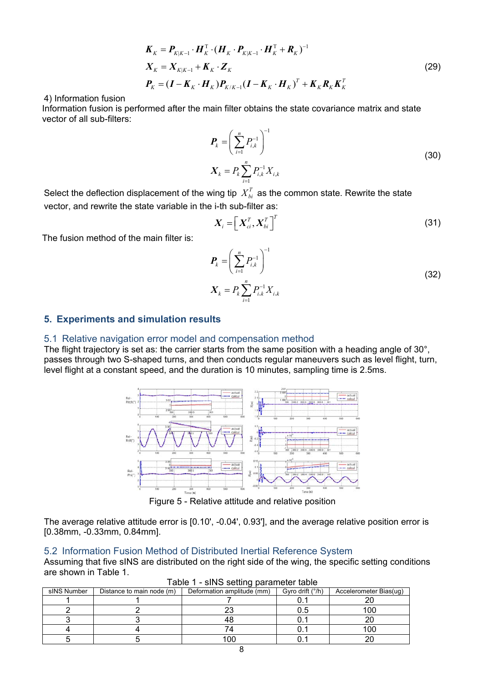$$
\boldsymbol{K}_{K} = \boldsymbol{P}_{K|K-1} \cdot \boldsymbol{H}_{K}^{T} \cdot (\boldsymbol{H}_{K} \cdot \boldsymbol{P}_{K|K-1} \cdot \boldsymbol{H}_{K}^{T} + \boldsymbol{R}_{K})^{-1}
$$
\n
$$
\boldsymbol{X}_{K} = \boldsymbol{X}_{K|K-1} + \boldsymbol{K}_{K} \cdot \boldsymbol{Z}_{K}
$$
\n
$$
\boldsymbol{P}_{K} = (\boldsymbol{I} - \boldsymbol{K}_{K} \cdot \boldsymbol{H}_{K}) \boldsymbol{P}_{K|K-1} (\boldsymbol{I} - \boldsymbol{K}_{K} \cdot \boldsymbol{H}_{K})^{T} + \boldsymbol{K}_{K} \boldsymbol{R}_{K} \boldsymbol{K}_{K}^{T}
$$
\n(29)

4) Information fusion

Information fusion is performed after the main filter obtains the state covariance matrix and state vector of all sub-filters:

$$
\boldsymbol{P}_{k} = \left(\sum_{i=1}^{n} P_{i,k}^{-1}\right)^{-1}
$$
\n
$$
\boldsymbol{X}_{k} = P_{k} \sum_{i=1}^{n} P_{i,k}^{-1} \boldsymbol{X}_{i,k}
$$
\n(30)

Select the deflection displacement of the wing tip  $X_{bi}^T$  as the common state. Rewrite the state vector, and rewrite the state variable in the i-th sub-filter as:

$$
\boldsymbol{X}_{i} = \left[ \boldsymbol{X}_{ci}^{T}, \boldsymbol{X}_{bi}^{T} \right]^{T}
$$
 (31)

The fusion method of the main filter is:

$$
\boldsymbol{P}_{k} = \left(\sum_{i=1}^{n} P_{i,k}^{-1}\right)^{-1}
$$
\n
$$
\boldsymbol{X}_{k} = P_{k} \sum_{i=1}^{n} P_{i,k}^{-1} \boldsymbol{X}_{i,k} \tag{32}
$$

### **5. Experiments and simulation results**

#### 5.1 Relative navigation error model and compensation method

The flight trajectory is set as: the carrier starts from the same position with a heading angle of 30°, passes through two S-shaped turns, and then conducts regular maneuvers such as level flight, turn, level flight at a constant speed, and the duration is 10 minutes, sampling time is 2.5ms.



Figure 5 - Relative attitude and relative position

The average relative attitude error is [0.10ʹ, -0.04ʹ, 0.93ʹ], and the average relative position error is [0.38mm, -0.33mm, 0.84mm].

#### 5.2 Information Fusion Method of Distributed Inertial Reference System

Assuming that five sINS are distributed on the right side of the wing, the specific setting conditions are shown in Table 1.

| sINS Number | Distance to main node (m) | Deformation amplitude (mm) | Gyro drift (°/h) | Accelerometer Bias(ug) |  |
|-------------|---------------------------|----------------------------|------------------|------------------------|--|
|             |                           |                            |                  |                        |  |
|             |                           |                            |                  |                        |  |
|             |                           |                            |                  |                        |  |
|             |                           |                            |                  | 100                    |  |
|             |                           |                            |                  |                        |  |

Table 1 - sINS setting parameter table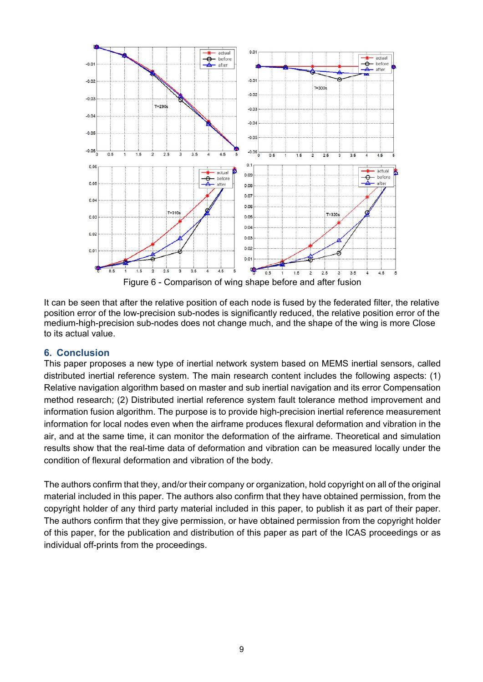

It can be seen that after the relative position of each node is fused by the federated filter, the relative position error of the low-precision sub-nodes is significantly reduced, the relative position error of the medium-high-precision sub-nodes does not change much, and the shape of the wing is more Close to its actual value.

# **6. Conclusion**

This paper proposes a new type of inertial network system based on MEMS inertial sensors, called distributed inertial reference system. The main research content includes the following aspects: (1) Relative navigation algorithm based on master and sub inertial navigation and its error Compensation method research; (2) Distributed inertial reference system fault tolerance method improvement and information fusion algorithm. The purpose is to provide high-precision inertial reference measurement information for local nodes even when the airframe produces flexural deformation and vibration in the air, and at the same time, it can monitor the deformation of the airframe. Theoretical and simulation results show that the real-time data of deformation and vibration can be measured locally under the condition of flexural deformation and vibration of the body.

The authors confirm that they, and/or their company or organization, hold copyright on all of the original material included in this paper. The authors also confirm that they have obtained permission, from the copyright holder of any third party material included in this paper, to publish it as part of their paper. The authors confirm that they give permission, or have obtained permission from the copyright holder of this paper, for the publication and distribution of this paper as part of the ICAS proceedings or as individual off-prints from the proceedings.